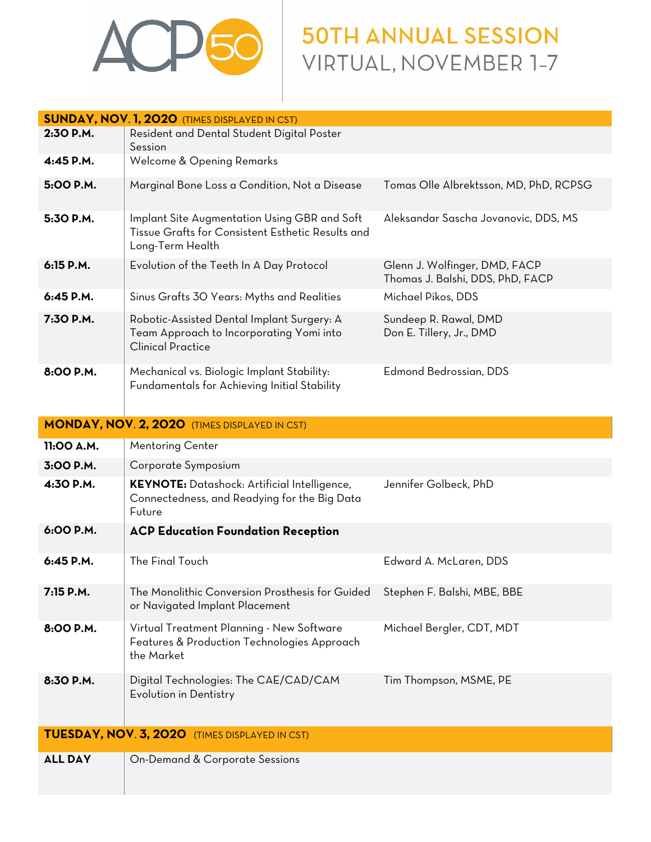

## **50TH ANNUAL SESSION** VIRTUAL, NOVEMBER 1-7

| <b>SUNDAY, NOV. 1, 2020 (TIMES DISPLAYED IN CST)</b>  |                                                                                                                       |                                                                   |  |
|-------------------------------------------------------|-----------------------------------------------------------------------------------------------------------------------|-------------------------------------------------------------------|--|
| 2:30 P.M.                                             | Resident and Dental Student Digital Poster                                                                            |                                                                   |  |
|                                                       | Session                                                                                                               |                                                                   |  |
| 4:45 P.M.                                             | Welcome & Opening Remarks                                                                                             |                                                                   |  |
| 5:00 P.M.                                             | Marginal Bone Loss a Condition, Not a Disease                                                                         | Tomas Olle Albrektsson, MD, PhD, RCPSG                            |  |
| 5:30 P.M.                                             | Implant Site Augmentation Using GBR and Soft<br>Tissue Grafts for Consistent Esthetic Results and<br>Long-Term Health | Aleksandar Sascha Jovanovic, DDS, MS                              |  |
| 6:15 P.M.                                             | Evolution of the Teeth In A Day Protocol                                                                              | Glenn J. Wolfinger, DMD, FACP<br>Thomas J. Balshi, DDS, PhD, FACP |  |
| 6:45 P.M.                                             | Sinus Grafts 30 Years: Myths and Realities                                                                            | Michael Pikos, DDS                                                |  |
| 7:30 P.M.                                             | Robotic-Assisted Dental Implant Surgery: A<br>Team Approach to Incorporating Yomi into<br><b>Clinical Practice</b>    | Sundeep R. Rawal, DMD<br>Don E. Tillery, Jr., DMD                 |  |
| 8:00 P.M.                                             | Mechanical vs. Biologic Implant Stability:<br>Fundamentals for Achieving Initial Stability                            | <b>Edmond Bedrossian, DDS</b>                                     |  |
| <b>MONDAY, NOV. 2, 2020</b> (TIMES DISPLAYED IN CST)  |                                                                                                                       |                                                                   |  |
| 11:00 A.M.                                            | <b>Mentoring Center</b>                                                                                               |                                                                   |  |
| 3:00 P.M.                                             | Corporate Symposium                                                                                                   |                                                                   |  |
| 4:30 P.M.                                             | <b>KEYNOTE:</b> Datashock: Artificial Intelligence,<br>Connectedness, and Readying for the Big Data<br>Future         | Jennifer Golbeck, PhD                                             |  |
| 6:00 P.M.                                             | <b>ACP Education Foundation Reception</b>                                                                             |                                                                   |  |
| 6:45 P.M.                                             | The Final Touch                                                                                                       | Edward A. McLaren, DDS                                            |  |
| 7:15 P.M.                                             | The Monolithic Conversion Prosthesis for Guided<br>or Navigated Implant Placement                                     | Stephen F. Balshi, MBE, BBE                                       |  |
| 8:00 P.M.                                             | Virtual Treatment Planning - New Software<br>Features & Production Technologies Approach<br>the Market                | Michael Bergler, CDT, MDT                                         |  |
| 8:30 P.M.                                             | Digital Technologies: The CAE/CAD/CAM<br>Evolution in Dentistry                                                       | Tim Thompson, MSME, PE                                            |  |
| <b>TUESDAY, NOV. 3, 2020</b> (TIMES DISPLAYED IN CST) |                                                                                                                       |                                                                   |  |
| <b>ALL DAY</b>                                        | On-Demand & Corporate Sessions                                                                                        |                                                                   |  |